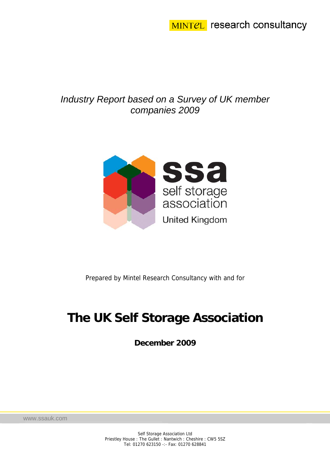## *Industry Report based on a Survey of UK member companies 2009*



Prepared by Mintel Research Consultancy with and for

# **The UK Self Storage Association**

**December 2009** 

www.ssauk.com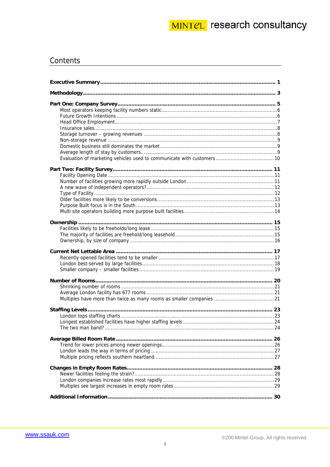### Contents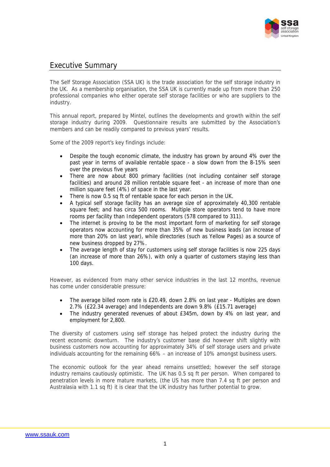

### <span id="page-2-0"></span>Executive Summary

The Self Storage Association (SSA UK) is the trade association for the self storage industry in the UK. As a membership organisation, the SSA UK is currently made up from more than 250 professional companies who either operate self storage facilities or who are suppliers to the industry.

This annual report, prepared by Mintel, outlines the developments and growth within the self storage industry during 2009. Questionnaire results are submitted by the Association's members and can be readily compared to previous years' results.

Some of the 2009 report's key findings include:

- Despite the tough economic climate, the industry has grown by around 4% over the past year in terms of available rentable space - a slow down from the 8-15% seen over the previous five years
- There are now about 800 primary facilities (not including container self storage facilities) and around 28 million rentable square feet - an increase of more than one million square feet (4%) of space in the last year.
- There is now 0.5 sq ft of rentable space for each person in the UK.
- A typical self storage facility has an average size of approximately 40,300 rentable square feet; and has circa 500 rooms. Multiple store operators tend to have more rooms per facility than Independent operators (578 compared to 311).
- The internet is proving to be the most important form of marketing for self storage operators now accounting for more than 35% of new business leads (an increase of more than 20% on last year), while directories (such as Yellow Pages) as a source of new business dropped by 27%.
- The average length of stay for customers using self storage facilities is now 225 days (an increase of more than 26%), with only a quarter of customers staying less than 100 days.

However, as evidenced from many other service industries in the last 12 months, revenue has come under considerable pressure:

- The average billed room rate is £20.49, down 2.8% on last year Multiples are down 2.7% (£22.34 average) and Independents are down 9.8% (£15.71 average)
- The industry generated revenues of about £345m, down by 4% on last year, and employment for 2,800.

The diversity of customers using self storage has helped protect the industry during the recent economic downturn. The industry's customer base did however shift slightly with business customers now accounting for approximately 34% of self storage users and private individuals accounting for the remaining 66% – an increase of 10% amongst business users.

The economic outlook for the year ahead remains unsettled; however the self storage industry remains cautiously optimistic. The UK has 0.5 sq ft per person. When compared to penetration levels in more mature markets, (the US has more than 7.4 sq ft per person and Australasia with 1.1 sq ft) it is clear that the UK industry has further potential to grow.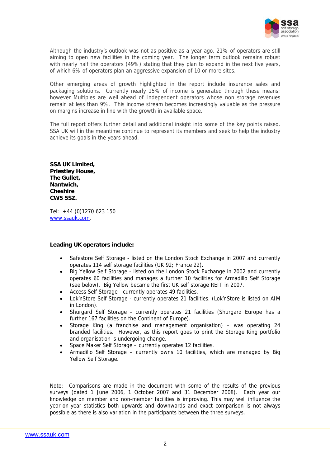

Although the industry's outlook was not as positive as a year ago, 21% of operators are still aiming to open new facilities in the coming year. The longer term outlook remains robust with nearly half the operators (49%) stating that they plan to expand in the next five years, of which 6% of operators plan an aggressive expansion of 10 or more sites.

Other emerging areas of growth highlighted in the report include insurance sales and packaging solutions. Currently nearly 15% of income is generated through these means; however Multiples are well ahead of Independent operators whose non storage revenues remain at less than 9%. This income stream becomes increasingly valuable as the pressure on margins increase in line with the growth in available space.

The full report offers further detail and additional insight into some of the key points raised. SSA UK will in the meantime continue to represent its members and seek to help the industry achieve its goals in the years ahead.

**SSA UK Limited, Priestley House, The Gullet, Nantwich, Cheshire CW5 5SZ.** 

Tel: +44 (0)1270 623 150 [www.ssauk.com.](http://www.ssauk.com/)

### **Leading UK operators include:**

- Safestore Self Storage listed on the London Stock Exchange in 2007 and currently operates 114 self storage facilities (UK 92; France 22).
- Big Yellow Self Storage listed on the London Stock Exchange in 2002 and currently operates 60 facilities and manages a further 10 facilities for Armadillo Self Storage (see below). Big Yellow became the first UK self storage REIT in 2007.
- Access Self Storage currently operates 49 facilities.
- Lok'nStore Self Storage currently operates 21 facilities. (Lok'nStore is listed on AIM in London).
- Shurgard Self Storage currently operates 21 facilities (Shurgard Europe has a further 167 facilities on the Continent of Europe).
- Storage King (a franchise and management organisation) was operating 24 branded facilities. However, as this report goes to print the Storage King portfolio and organisation is undergoing change.
- Space Maker Self Storage currently operates 12 facilities.
- Armadillo Self Storage currently owns 10 facilities, which are managed by Big Yellow Self Storage.

Note: Comparisons are made in the document with some of the results of the previous surveys (dated 1 June 2006, 1 October 2007 and 31 December 2008). Each year our knowledge on member and non-member facilities is improving. This may well influence the year-on-year statistics both upwards and downwards and exact comparison is not always possible as there is also variation in the participants between the three surveys.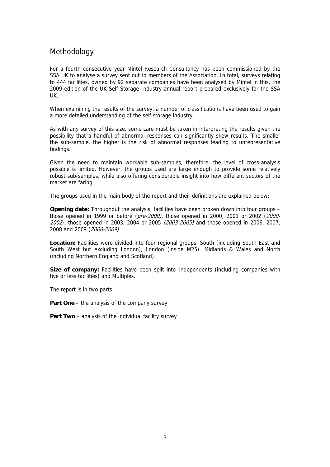### <span id="page-4-0"></span>Methodology

For a fourth consecutive year Mintel Research Consultancy has been commissioned by the SSA UK to analyse a survey sent out to members of the Association. In total, surveys relating to 444 facilities, owned by 92 separate companies have been analysed by Mintel in this, the 2009 edition of the UK Self Storage Industry annual report prepared exclusively for the SSA UK.

When examining the results of the survey, a number of classifications have been used to gain a more detailed understanding of the self storage industry.

As with any survey of this size, some care must be taken in interpreting the results given the possibility that a handful of abnormal responses can significantly skew results. The smaller the sub-sample, the higher is the risk of abnormal responses leading to unrepresentative findings.

Given the need to maintain workable sub-samples, therefore, the level of cross-analysis possible is limited. However, the groups used are large enough to provide some relatively robust sub-samples, while also offering considerable insight into how different sectors of the market are faring.

The groups used in the main body of the report and their definitions are explained below:

**Opening date:** Throughout the analysis, facilities have been broken down into four groups – those opened in 1999 or before (pre-2000), those opened in 2000, 2001 or 2002 (2000- 2002), those opened in 2003, 2004 or 2005 (2003-2005) and those opened in 2006, 2007, 2008 and 2009 (2006-2009).

**Location:** Facilities were divided into four regional groups, South (including South East and South West but excluding London), London (inside M25), Midlands & Wales and North (including Northern England and Scotland).

**Size of company:** Facilities have been split into Independents (including companies with five or less facilities) and Multiples.

The report is in two parts:

**Part One** – the analysis of the company survey

**Part Two** – analysis of the individual facility survey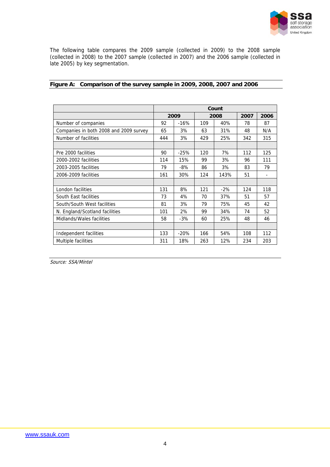

The following table compares the 2009 sample (collected in 2009) to the 2008 sample (collected in 2008) to the 2007 sample (collected in 2007) and the 2006 sample (collected in late 2005) by key segmentation.

|                                        | Count |        |     |       |      |      |
|----------------------------------------|-------|--------|-----|-------|------|------|
|                                        |       | 2009   |     | 2008  | 2007 | 2006 |
| Number of companies                    | 92    | $-16%$ | 109 | 40%   | 78   | 87   |
| Companies in both 2008 and 2009 survey | 65    | 3%     | 63  | 31%   | 48   | N/A  |
| Number of facilities                   | 444   | 3%     | 429 | 25%   | 342  | 315  |
|                                        |       |        |     |       |      |      |
| Pre 2000 facilities                    | 90    | $-25%$ | 120 | 7%    | 112  | 125  |
| 2000-2002 facilities                   | 114   | 15%    | 99  | 3%    | 96   | 111  |
| 2003-2005 facilities                   | 79    | $-8%$  | 86  | 3%    | 83   | 79   |
| 2006-2009 facilities                   | 161   | 30%    | 124 | 143%  | 51   |      |
|                                        |       |        |     |       |      |      |
| London facilities                      | 131   | 8%     | 121 | $-2%$ | 124  | 118  |
| South East facilities                  | 73    | 4%     | 70  | 37%   | 51   | 57   |
| South/South West facilities            | 81    | 3%     | 79  | 75%   | 45   | 42   |
| N. England/Scotland facilities         | 101   | 2%     | 99  | 34%   | 74   | 52   |
| Midlands/Wales facilities              | 58    | $-3%$  | 60  | 25%   | 48   | 46   |
|                                        |       |        |     |       |      |      |
| Independent facilities                 | 133   | $-20%$ | 166 | 54%   | 108  | 112  |
| Multiple facilities                    | 311   | 18%    | 263 | 12%   | 234  | 203  |

### **Figure A: Comparison of the survey sample in 2009, 2008, 2007 and 2006**

Source: SSA/Mintel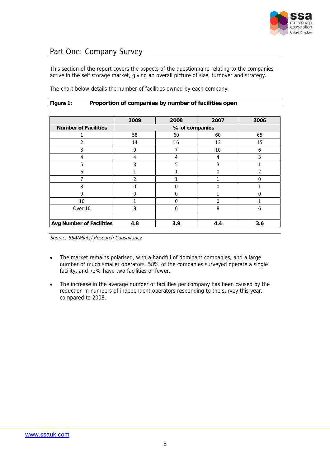

### <span id="page-6-0"></span>Part One: Company Survey

This section of the report covers the aspects of the questionnaire relating to the companies active in the self storage market, giving an overall picture of size, turnover and strategy.

The chart below details the number of facilities owned by each company.

|                                 | 2009     | 2008           | 2007     | 2006           |
|---------------------------------|----------|----------------|----------|----------------|
| <b>Number of Facilities</b>     |          | % of companies |          |                |
|                                 | 58       | 60             | 60       | 65             |
| 2                               | 14       | 16             | 13       | 15             |
| 3                               | 9        | 7              | 10       | 6              |
| 4                               | 4        | 4              | 4        | 3              |
| 5                               | 3        | 5              | 3        |                |
| 6                               | 1        |                | 0        | $\overline{2}$ |
| 7                               | 2        |                |          | $\Omega$       |
| 8                               | $\Omega$ | $\Omega$       | $\Omega$ |                |
| 9                               | $\Omega$ | 0              |          | $\Omega$       |
| 10                              |          | 0              | 0        |                |
| Over 10                         | 8        | 6              | 8        | 6              |
|                                 |          |                |          |                |
| <b>Avg Number of Facilities</b> | 4.8      | 3.9            | 4.4      | 3.6            |

### **Figure 1: Proportion of companies by number of facilities open**

- The market remains polarised, with a handful of dominant companies, and a large number of much smaller operators. 58% of the companies surveyed operate a single facility, and 72% have two facilities or fewer.
- The increase in the average number of facilities per company has been caused by the reduction in numbers of independent operators responding to the survey this year, compared to 2008.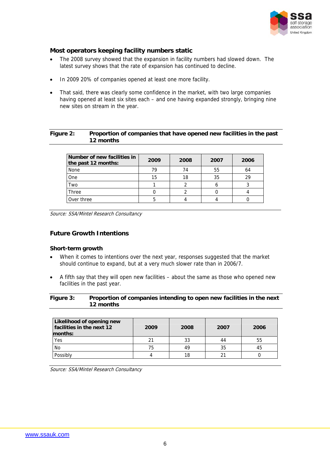

### <span id="page-7-0"></span>**Most operators keeping facility numbers static**

- The 2008 survey showed that the expansion in facility numbers had slowed down. The latest survey shows that the rate of expansion has continued to decline.
- In 2009 20% of companies opened at least one more facility.
- That said, there was clearly some confidence in the market, with two large companies having opened at least six sites each – and one having expanded strongly, bringing nine new sites on stream in the year.

### **Figure 2: Proportion of companies that have opened new facilities in the past 12 months**

| Number of new facilities in<br>the past 12 months: | 2009 | 2008 | 2007 | 2006 |
|----------------------------------------------------|------|------|------|------|
| None                                               | 79   | 74   | 55   | 64   |
| One                                                | 15   | 18   | 35   | 29   |
| Two                                                |      |      |      |      |
| Three                                              |      |      |      |      |
| Over three                                         |      |      |      |      |

Source: SSA/Mintel Research Consultancy

### **Future Growth Intentions**

#### **Short-term growth**

- When it comes to intentions over the next year, responses suggested that the market should continue to expand, but at a very much slower rate than in 2006/7.
- A fifth say that they will open new facilities about the same as those who opened new facilities in the past year.

#### **Figure 3: Proportion of companies intending to open new facilities in the next 12 months**

| Likelihood of opening new<br>facilities in the next 12<br>months: | 2009 | 2008 | 2007        | 2006 |
|-------------------------------------------------------------------|------|------|-------------|------|
| Yes                                                               | 21   | 33   | 44          | 55   |
| No                                                                | 75   | 49   | 35          | 45   |
| Possibly                                                          |      | 18   | $2^{\cdot}$ |      |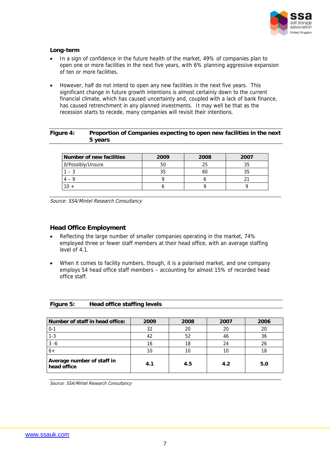

### <span id="page-8-0"></span>**Long-term**

- In a sign of confidence in the future health of the market, 49% of companies plan to open one or more facilities in the next five years, with 6% planning aggressive expansion of ten or more facilities.
- However, half do not intend to open any new facilities in the next five years. This significant change in future growth intentions is almost certainly down to the current financial climate, which has caused uncertainty and, coupled with a lack of bank finance, has caused retrenchment in any planned investments. It may well be that as the recession starts to recede, many companies will revisit their intentions.

| Figure 4: | Proportion of Companies expecting to open new facilities in the next |
|-----------|----------------------------------------------------------------------|
|           | 5 years                                                              |

| Number of new facilities | 2009 | 2008 | 2007 |
|--------------------------|------|------|------|
| 0/Possibly/Unsure        | 50   |      | 35   |
|                          | 35   |      | 35   |
|                          |      |      |      |
| + 10                     |      |      |      |

Source: SSA/Mintel Research Consultancy

**Figure 5: Head office staffing levels** 

### **Head Office Employment**

- Reflecting the large number of smaller companies operating in the market, 74% employed three or fewer staff members at their head office, with an average staffing  $level of 4.1$
- When it comes to facility numbers, though, it is a polarised market, and one company employs 54 head office staff members – accounting for almost 15% of recorded head office staff.

| Number of staff in head office:           | 2009 | 2008 | 2007 | 2006 |
|-------------------------------------------|------|------|------|------|
| $0 - 1$                                   | 32   | 20   | 20   | 20   |
| $1 - 3$                                   | 42   | 52   | 46   | 36   |
| $3 - 6$                                   | 16   | 18   | 24   | 26   |
| $6+$                                      | 10   | 10   | 10   | 18   |
| Average number of staff in<br>head office | 4.1  | 4.5  | 4.2  | 5.0  |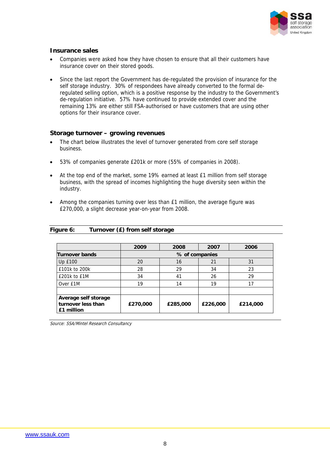

### <span id="page-9-0"></span>**Insurance sales**

- Companies were asked how they have chosen to ensure that all their customers have insurance cover on their stored goods.
- Since the last report the Government has de-regulated the provision of insurance for the self storage industry. 30% of respondees have already converted to the formal deregulated selling option, which is a positive response by the industry to the Government's de-regulation initiative. 57% have continued to provide extended cover and the remaining 13% are either still FSA-authorised or have customers that are using other options for their insurance cover.

### **Storage turnover – growing revenues**

- The chart below illustrates the level of turnover generated from core self storage business.
- 53% of companies generate £201k or more (55% of companies in 2008).
- At the top end of the market, some 19% earned at least £1 million from self storage business, with the spread of incomes highlighting the huge diversity seen within the industry.
- Among the companies turning over less than £1 million, the average figure was £270,000, a slight decrease year-on-year from 2008.

|                                                          | 2009     | 2008           | 2007     | 2006     |  |  |  |
|----------------------------------------------------------|----------|----------------|----------|----------|--|--|--|
| <b>Turnover bands</b>                                    |          | % of companies |          |          |  |  |  |
| <b>Up £100</b>                                           | 20       | 16             | 21       | 31       |  |  |  |
| £101k to 200k                                            | 28       | 29             | 34       | 23       |  |  |  |
| £201k to £1M                                             | 34       | 41             | 26       | 29       |  |  |  |
| Over £1M                                                 | 19       | 14             | 19       | 17       |  |  |  |
| Average self storage<br>turnover less than<br>£1 million | £270,000 | £285,000       | £226,000 | £214,000 |  |  |  |

#### **Figure 6: Turnover (£) from self storage**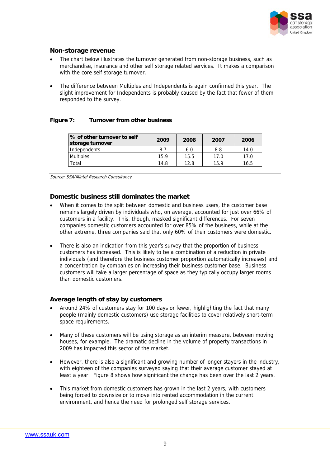

### <span id="page-10-0"></span>**Non-storage revenue**

- The chart below illustrates the turnover generated from non-storage business, such as merchandise, insurance and other self storage related services. It makes a comparison with the core self storage turnover.
- The difference between Multiples and Independents is again confirmed this year. The slight improvement for Independents is probably caused by the fact that fewer of them responded to the survey.

### **Figure 7: Turnover from other business**

| % of other turnover to self<br>storage turnover | 2009 | 2008 | 2007 | 2006 |
|-------------------------------------------------|------|------|------|------|
| <b>Independents</b>                             | 8.7  | 6.0  | 8.8  | 14.0 |
| <b>Multiples</b>                                | 15.9 | 15.5 | 17.0 | 17.0 |
| Total                                           | 14.8 | 12.8 | 15.9 | 16.5 |

Source: SSA/Mintel Research Consultancy

### **Domestic business still dominates the market**

- When it comes to the split between domestic and business users, the customer base remains largely driven by individuals who, on average, accounted for just over 66% of customers in a facility. This, though, masked significant differences. For seven companies domestic customers accounted for over 85% of the business, while at the other extreme, three companies said that only 60% of their customers were domestic.
- There is also an indication from this year's survey that the proportion of business customers has increased. This is likely to be a combination of a reduction in private individuals (and therefore the business customer proportion automatically increases) and a concentration by companies on increasing their business customer base. Business customers will take a larger percentage of space as they typically occupy larger rooms than domestic customers.

### **Average length of stay by customers**

- Around 24% of customers stay for 100 days or fewer, highlighting the fact that many people (mainly domestic customers) use storage facilities to cover relatively short-term space requirements.
- Many of these customers will be using storage as an interim measure, between moving houses, for example. The dramatic decline in the volume of property transactions in 2009 has impacted this sector of the market.
- However, there is also a significant and growing number of longer stayers in the industry, with eighteen of the companies surveyed saying that their average customer stayed at least a year. Figure 8 shows how significant the change has been over the last 2 years.
- This market from domestic customers has grown in the last 2 years, with customers being forced to downsize or to move into rented accommodation in the current environment, and hence the need for prolonged self storage services.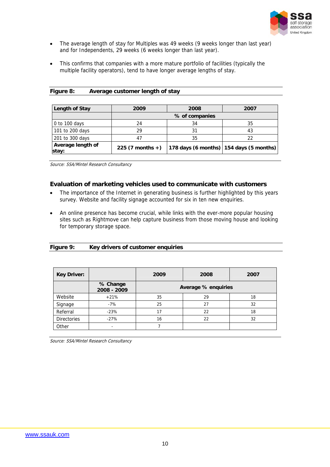

- <span id="page-11-0"></span>• The average length of stay for Multiples was 49 weeks (9 weeks longer than last year) and for Independents, 29 weeks (6 weeks longer than last year).
- This confirms that companies with a more mature portfolio of facilities (typically the multiple facility operators), tend to have longer average lengths of stay.

| <b>Length of Stay</b>      | 2009               | 2008 | 2007                                    |  |  |
|----------------------------|--------------------|------|-----------------------------------------|--|--|
|                            | % of companies     |      |                                         |  |  |
| 0 to 100 days              | 24                 | 34   | 35                                      |  |  |
| 101 to 200 days            | 29                 | 31   | 43                                      |  |  |
| 201 to 300 days            |                    | 35   | 22                                      |  |  |
| Average length of<br>stay: | $225$ (7 months +) |      | 178 days (6 months) 154 days (5 months) |  |  |

### **Figure 8: Average customer length of stay**

Source: SSA/Mintel Research Consultancy

### **Evaluation of marketing vehicles used to communicate with customers**

- The importance of the Internet in generating business is further highlighted by this years survey. Website and facility signage accounted for six in ten new enquiries.
- An online presence has become crucial, while links with the ever-more popular housing sites such as Rightmove can help capture business from those moving house and looking for temporary storage space.

### **Figure 9: Key drivers of customer enquiries**

| <b>Key Driver:</b> |                         | 2009                | 2008 | 2007 |  |  |
|--------------------|-------------------------|---------------------|------|------|--|--|
|                    | % Change<br>2008 - 2009 | Average % enquiries |      |      |  |  |
| Website            | $+21%$                  | 35                  | 29   | 18   |  |  |
| Signage            | $-7%$                   | 25                  | 27   | 32   |  |  |
| Referral           | $-23%$                  | 17                  | 22   | 18   |  |  |
| <b>Directories</b> | $-27%$                  | 16                  | 22   | 32   |  |  |
| Other              |                         |                     |      |      |  |  |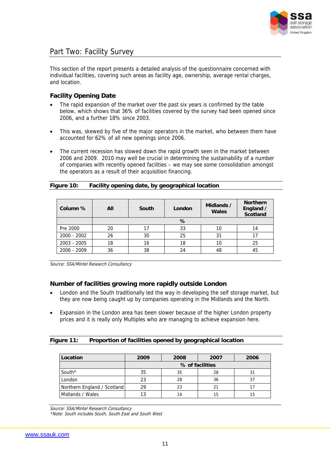

### <span id="page-12-0"></span>Part Two: Facility Survey

This section of the report presents a detailed analysis of the questionnaire concerned with individual facilities, covering such areas as facility age, ownership, average rental charges, and location.

### **Facility Opening Date**

- The rapid expansion of the market over the past six years is confirmed by the table below, which shows that 36% of facilities covered by the survey had been opened since 2006, and a further 18% since 2003.
- This was, skewed by five of the major operators in the market, who between them have accounted for 62% of all new openings since 2006.
- The current recession has slowed down the rapid growth seen in the market between 2006 and 2009. 2010 may well be crucial in determining the sustainability of a number of companies with recently opened facilities – we may see some consolidation amongst the operators as a result of their acquisition financing.

| Figure 10: | Facility opening date, by geographical location |
|------------|-------------------------------------------------|
|            |                                                 |

| Column %      | All | South | London | Midlands /<br><b>Wales</b> | <b>Northern</b><br>England /<br><b>Scotland</b> |
|---------------|-----|-------|--------|----------------------------|-------------------------------------------------|
|               |     |       | %      |                            |                                                 |
| Pre 2000      | 20  |       | 33     | 10                         | 14                                              |
| $2000 - 2002$ | 26  | 30    | 25     | 31                         | 17                                              |
| $2003 - 2005$ | 18  | 16    | 18     | 10                         | 25                                              |
| 2006 - 2009   | 36  | 38    | 24     | 48                         | 45                                              |

Source: SSA/Mintel Research Consultancy

### **Number of facilities growing more rapidly outside London**

- London and the South traditionally led the way in developing the self storage market, but they are now being caught up by companies operating in the Midlands and the North.
- Expansion in the London area has been slower because of the higher London property prices and it is really only Multiples who are managing to achieve expansion here.

### **Figure 11: Proportion of facilities opened by geographical location**

| Location                    | 2009            | 2008 | 2007 | 2006 |
|-----------------------------|-----------------|------|------|------|
|                             | % of facilities |      |      |      |
| South*                      | 35              | 35   | 28   | 31   |
| London                      | 23              | 28   | 36   | 37   |
| Northern England / Scotland | 29              | 23   |      |      |
| Midlands / Wales            |                 | 14   | 15   | 15   |

Source: SSA/Mintel Research Consultancy

\*Note: South includes South, South East and South West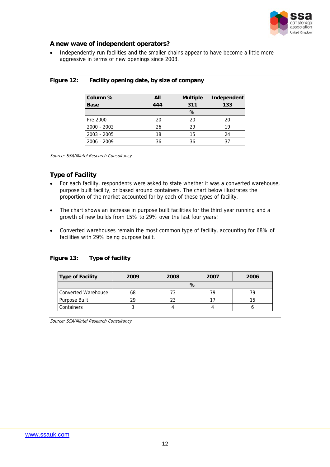

### <span id="page-13-0"></span>**A new wave of independent operators?**

• Independently run facilities and the smaller chains appear to have become a little more aggressive in terms of new openings since 2003.

| Column %      | All | <b>Multiple</b> | Independent |
|---------------|-----|-----------------|-------------|
| <b>Base</b>   | 444 | 133<br>311      |             |
|               |     | %               |             |
| Pre 2000      | 20  | 20              | 20          |
| $2000 - 2002$ | 26  | 29              | 19          |
| 2003 - 2005   | 18  | 15              | 24          |
| 2006 - 2009   | 36  | 36              | 37          |

### **Figure 12: Facility opening date, by size of company**

Source: SSA/Mintel Research Consultancy

### **Type of Facility**

- For each facility, respondents were asked to state whether it was a converted warehouse, purpose built facility, or based around containers. The chart below illustrates the proportion of the market accounted for by each of these types of facility.
- The chart shows an increase in purpose built facilities for the third year running and a growth of new builds from 15% to 29% over the last four years!
- Converted warehouses remain the most common type of facility, accounting for 68% of facilities with 29% being purpose built.

| Figure 13: | Type of facility |
|------------|------------------|
|            |                  |

| <b>Type of Facility</b> | 2009 | 2008 | 2007 | 2006 |  |
|-------------------------|------|------|------|------|--|
|                         | %    |      |      |      |  |
| Converted Warehouse     | 68   |      |      |      |  |
| Purpose Built           | 29   |      |      |      |  |
| Containers              |      |      |      |      |  |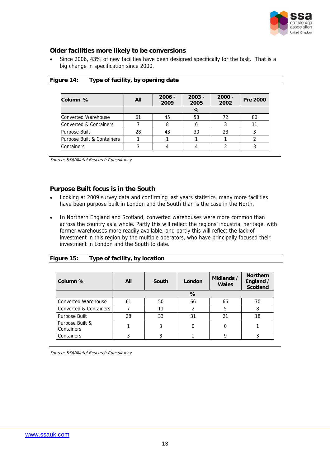

### <span id="page-14-0"></span>**Older facilities more likely to be conversions**

• Since 2006, 43% of new facilities have been designed specifically for the task. That is a big change in specification since 2000.

| Column %                   | All | $2006 -$<br>2009 | $2003 -$<br>2005 | $2000 -$<br>2002 | <b>Pre 2000</b> |
|----------------------------|-----|------------------|------------------|------------------|-----------------|
|                            |     |                  | %                |                  |                 |
| Converted Warehouse        | 61  | 45               | 58               | 72               | 80              |
| Converted & Containers     |     |                  | b                |                  |                 |
| <b>Purpose Built</b>       | 28  | 43               | 30               | 23               |                 |
| Purpose Built & Containers |     |                  |                  |                  |                 |
| <b>Containers</b>          |     |                  |                  |                  |                 |

### **Figure 14: Type of facility, by opening date**

Source: SSA/Mintel Research Consultancy

### **Purpose Built focus is in the South**

- Looking at 2009 survey data and confirming last years statistics, many more facilities have been purpose built in London and the South than is the case in the North.
- In Northern England and Scotland, converted warehouses were more common than across the country as a whole. Partly this will reflect the regions' industrial heritage, with former warehouses more readily available, and partly this will reflect the lack of investment in this region by the multiple operators, who have principally focused their investment in London and the South to date.

| Figure 15: | Type of facility, by location |  |
|------------|-------------------------------|--|
|            |                               |  |

| Column %                      | All | <b>South</b> | London | Midlands /<br><b>Wales</b> | <b>Northern</b><br>England /<br><b>Scotland</b> |
|-------------------------------|-----|--------------|--------|----------------------------|-------------------------------------------------|
|                               |     |              | %      |                            |                                                 |
| Converted Warehouse           | 61  | 50           | 66     | 66                         | 70                                              |
| Converted & Containers        |     | 11           |        | 5                          | 8                                               |
| Purpose Built                 | 28  | 33           | 31     | 21                         | 18                                              |
| Purpose Built &<br>Containers |     |              | C      |                            |                                                 |
| Containers                    | 3   |              |        | ი                          |                                                 |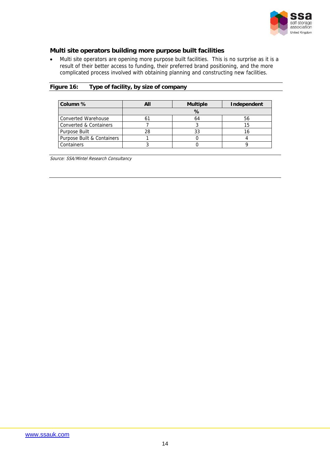

### <span id="page-15-0"></span>**Multi site operators building more purpose built facilities**

• Multi site operators are opening more purpose built facilities. This is no surprise as it is a result of their better access to funding, their preferred brand positioning, and the more complicated process involved with obtaining planning and constructing new facilities.

| Type of facility, by size of company<br>Figure 16: |
|----------------------------------------------------|
|----------------------------------------------------|

| Column %                   | AII | <b>Multiple</b> | Independent |
|----------------------------|-----|-----------------|-------------|
|                            |     | %               |             |
| <b>Converted Warehouse</b> |     | 64              | 56          |
| Converted & Containers     |     |                 | 15          |
| Purpose Built              | 28  | 33              |             |
| Purpose Built & Containers |     |                 |             |
| Containers                 |     |                 |             |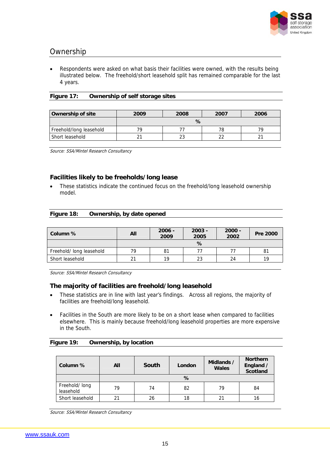

### <span id="page-16-0"></span>**Ownership**

Respondents were asked on what basis their facilities were owned, with the results being illustrated below. The freehold/short leasehold split has remained comparable for the last 4 years.

### **Figure 17: Ownership of self storage sites**

| Ownership of site       | 2009 | 2008 | 2007 | 2006 |  |
|-------------------------|------|------|------|------|--|
|                         | %    |      |      |      |  |
| Freehold/long leasehold | 70   |      | 78   |      |  |
| Short leasehold         |      | າເ   |      |      |  |

Source: SSA/Mintel Research Consultancy

### **Facilities likely to be freeholds/long lease**

• These statistics indicate the continued focus on the freehold/long leasehold ownership model.

#### **Figure 18: Ownership, by date opened**

| Column %                 | All | $2006 -$<br>2009 | $2003 -$<br>2005 | $2000 -$<br>2002 | Pre 2000 |
|--------------------------|-----|------------------|------------------|------------------|----------|
|                          |     |                  | %                |                  |          |
| Freehold/ long leasehold | 79  | 81               | 77               |                  | 81       |
| Short leasehold          | 21  | 19               | 23               | 24               | 19       |

Source: SSA/Mintel Research Consultancy

### **The majority of facilities are freehold/long leasehold**

- These statistics are in line with last year's findings. Across all regions, the majority of facilities are freehold/long leasehold.
- Facilities in the South are more likely to be on a short lease when compared to facilities elsewhere. This is mainly because freehold/long leasehold properties are more expensive in the South.

### **Figure 19: Ownership, by location**

| Column %                    | All | <b>South</b> | London | Midlands /<br><b>Wales</b> | <b>Northern</b><br>England /<br><b>Scotland</b> |  |  |
|-----------------------------|-----|--------------|--------|----------------------------|-------------------------------------------------|--|--|
|                             |     | %            |        |                            |                                                 |  |  |
| Freehold/ long<br>leasehold | 79  | 74           | 82     | 79                         | 84                                              |  |  |
| Short leasehold             | 21  | 26           | 18     | 21                         | 16                                              |  |  |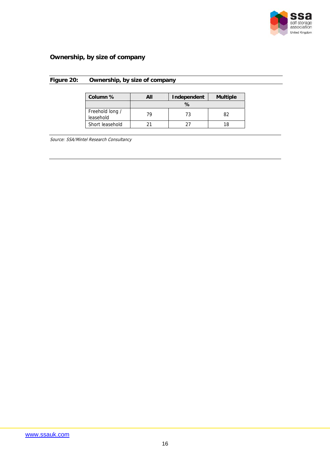

### <span id="page-17-0"></span>**Ownership, by size of company**

**Figure 20: Ownership, by size of company** 

| Column %                     | All | Independent | <b>Multiple</b> |
|------------------------------|-----|-------------|-----------------|
|                              |     | $\%$        |                 |
| Freehold long /<br>leasehold | 79  | 73          | 82              |
| Short leasehold              |     |             |                 |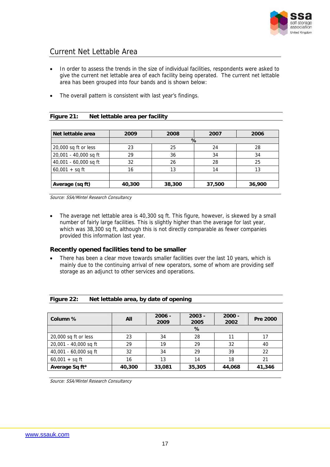

### <span id="page-18-0"></span>Current Net Lettable Area

- In order to assess the trends in the size of individual facilities, respondents were asked to give the current net lettable area of each facility being operated. The current net lettable area has been grouped into four bands and is shown below:
- The overall pattern is consistent with last year's findings.

| Figure 21: | Net lettable area per facility |  |
|------------|--------------------------------|--|
|            |                                |  |

| Net lettable area      | 2009   | 2008   | 2007   | 2006   |  |  |
|------------------------|--------|--------|--------|--------|--|--|
|                        | %      |        |        |        |  |  |
| $20,000$ sq ft or less | 23     | 25     | 24     | 28     |  |  |
| 20,001 - 40,000 sq ft  | 29     | 36     | 34     | 34     |  |  |
| 40,001 - 60,000 sq ft  | 32     | 26     | 28     | 25     |  |  |
| $60,001 + sq ft$       | 16     | 13     | 14     | 13     |  |  |
|                        |        |        |        |        |  |  |
| Average (sq ft)        | 40,300 | 38,300 | 37,500 | 36,900 |  |  |

Source: SSA/Mintel Research Consultancy

• The average net lettable area is 40,300 sq ft. This figure, however, is skewed by a small number of fairly large facilities. This is slightly higher than the average for last year, which was 38,300 sq ft, although this is not directly comparable as fewer companies provided this information last year.

### **Recently opened facilities tend to be smaller**

• There has been a clear move towards smaller facilities over the last 10 years, which is mainly due to the continuing arrival of new operators, some of whom are providing self storage as an adjunct to other services and operations.

| Column %              | All    | $2006 -$<br>2009 | $2003 -$<br>2005 | $2000 -$<br>2002 | <b>Pre 2000</b> |
|-----------------------|--------|------------------|------------------|------------------|-----------------|
|                       |        |                  | %                |                  |                 |
| 20,000 sq ft or less  | 23     | 34               | 28               | 11               | 17              |
| 20,001 - 40,000 sq ft | 29     | 19               | 29               | 32               | 40              |
| 40,001 - 60,000 sq ft | 32     | 34               | 29               | 39               | 22              |
| $60,001 + sq$ ft      | 16     | 13               | 14               | 18               | 21              |
| Average Sq ft*        | 40,300 | 33,081           | 35,305           | 44,068           | 41,346          |

**Figure 22: Net lettable area, by date of opening**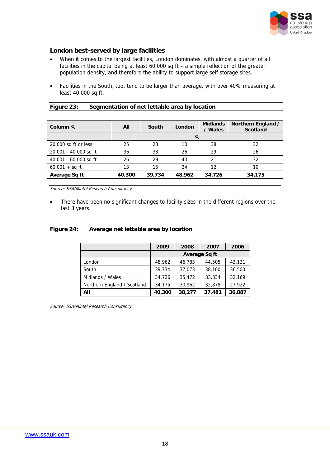

### <span id="page-19-0"></span>**London best-served by large facilities**

- When it comes to the largest facilities, London dominates, with almost a quarter of all facilities in the capital being at least 60,000 sq ft – a simple reflection of the greater population density, and therefore the ability to support large self storage sites.
- Facilities in the South, too, tend to be larger than average, with over 40% measuring at least 40,000 sq ft.

| Figure 23: | Segmentation of net lettable area by location |
|------------|-----------------------------------------------|
|            |                                               |

| Column %              | All    | South  | London | <b>Midlands</b><br>/ Wales | Northern England /<br><b>Scotland</b> |
|-----------------------|--------|--------|--------|----------------------------|---------------------------------------|
|                       | %      |        |        |                            |                                       |
| 20,000 sq ft or less  | 25     | 23     | 10     | 38                         | 32                                    |
| 20,001 - 40,000 sq ft | 36     | 33     | 26     | 29                         | 26                                    |
| 40,001 - 60,000 sq ft | 26     | 29     | 40     | 21                         | 32                                    |
| $60,001 + sq ft$      | 13     | 15     | 24     | 12                         | 10                                    |
| Average Sq ft         | 40,300 | 39,734 | 48,962 | 34,726                     | 34,175                                |

Source: SSA/Mintel Research Consultancy

• There have been no significant changes to facility sizes in the different regions over the last 3 years.

#### **Figure 24: Average net lettable area by location**

|                             | 2009   | 2008          | 2007   | 2006   |
|-----------------------------|--------|---------------|--------|--------|
|                             |        | Average Sq ft |        |        |
| London                      | 48,962 | 46,783        | 44,505 | 43,131 |
| South                       | 39,734 | 37,073        | 38,100 | 36,500 |
| Midlands / Wales            | 34,726 | 35,472        | 33,834 | 32,169 |
| Northern England / Scotland | 34,175 | 30.962        | 32,878 | 27,922 |
| All                         | 40,300 | 38,277        | 37,481 | 36,887 |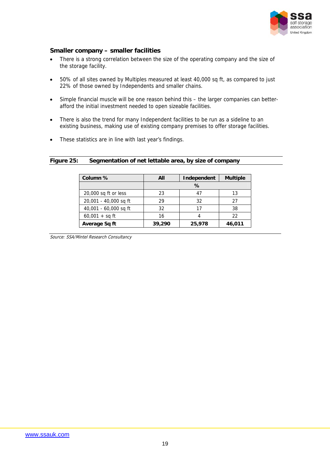

### <span id="page-20-0"></span>**Smaller company – smaller facilities**

- There is a strong correlation between the size of the operating company and the size of the storage facility.
- 50% of all sites owned by Multiples measured at least 40,000 sq ft, as compared to just 22% of those owned by Independents and smaller chains.
- Simple financial muscle will be one reason behind this the larger companies can betterafford the initial investment needed to open sizeable facilities.
- There is also the trend for many Independent facilities to be run as a sideline to an existing business, making use of existing company premises to offer storage facilities.
- These statistics are in line with last year's findings.

#### **Figure 25: Segmentation of net lettable area, by size of company**

| Column %               | Independent<br>All |        | <b>Multiple</b> |  |  |
|------------------------|--------------------|--------|-----------------|--|--|
|                        | ℅                  |        |                 |  |  |
| $20,000$ sq ft or less | 23                 | 47     | 13              |  |  |
| 20,001 - 40,000 sq ft  | 29                 | 32     |                 |  |  |
| 40,001 - 60,000 sq ft  | 32                 | 17     | 38              |  |  |
| $60,001 + sq ft$       | 16                 |        | 22              |  |  |
| Average Sq ft          | 39,290             | 25,978 | 46,011          |  |  |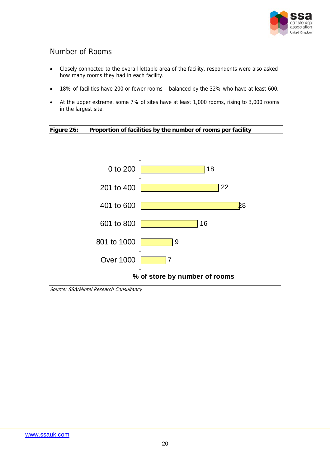

### <span id="page-21-0"></span>Number of Rooms

- Closely connected to the overall lettable area of the facility, respondents were also asked how many rooms they had in each facility.
- 18% of facilities have 200 or fewer rooms balanced by the 32% who have at least 600.
- At the upper extreme, some 7% of sites have at least 1,000 rooms, rising to 3,000 rooms in the largest site.

### **Figure 26: Proportion of facilities by the number of rooms per facility**



Source: SSA/Mintel Research Consultancy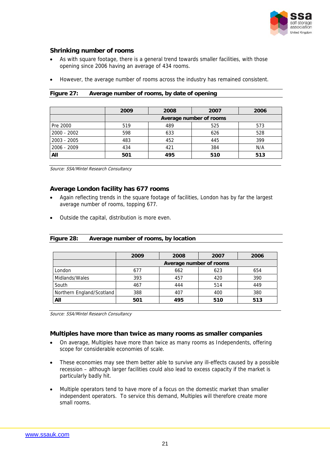

### <span id="page-22-0"></span>**Shrinking number of rooms**

- As with square footage, there is a general trend towards smaller facilities, with those opening since 2006 having an average of 434 rooms.
- However, the average number of rooms across the industry has remained consistent.

| Figure 27: | Average number of rooms, by date of opening |  |
|------------|---------------------------------------------|--|
|            |                                             |  |

|             | 2009                    | 2008 | 2007 | 2006 |  |  |  |
|-------------|-------------------------|------|------|------|--|--|--|
|             | Average number of rooms |      |      |      |  |  |  |
| Pre 2000    | 519                     | 489  | 525  | 573  |  |  |  |
| 2000 - 2002 | 598                     | 633  | 626  | 528  |  |  |  |
| 2003 - 2005 | 483                     | 452  | 445  | 399  |  |  |  |
| 2006 - 2009 | 434                     | 421  | 384  | N/A  |  |  |  |
| All         | 501                     | 495  | 510  | 513  |  |  |  |

Source: SSA/Mintel Research Consultancy

### **Average London facility has 677 rooms**

- Again reflecting trends in the square footage of facilities, London has by far the largest average number of rooms, topping 677.
- Outside the capital, distribution is more even.

|                           | 2009                    | 2008 | 2007 | 2006 |  |  |
|---------------------------|-------------------------|------|------|------|--|--|
|                           | Average number of rooms |      |      |      |  |  |
| London                    | 677                     | 662  | 623  | 654  |  |  |
| Midlands/Wales            | 393                     | 457  | 420  | 390  |  |  |
| South                     | 467                     | 444  | 514  | 449  |  |  |
| Northern England/Scotland | 388                     | 407  | 400  | 380  |  |  |
| All                       | 501                     | 495  | 510  | 513  |  |  |

### **Figure 28: Average number of rooms, by location**

Source: SSA/Mintel Research Consultancy

### **Multiples have more than twice as many rooms as smaller companies**

- On average, Multiples have more than twice as many rooms as Independents, offering scope for considerable economies of scale.
- These economies may see them better able to survive any ill-effects caused by a possible recession – although larger facilities could also lead to excess capacity if the market is particularly badly hit.
- Multiple operators tend to have more of a focus on the domestic market than smaller independent operators. To service this demand, Multiples will therefore create more small rooms.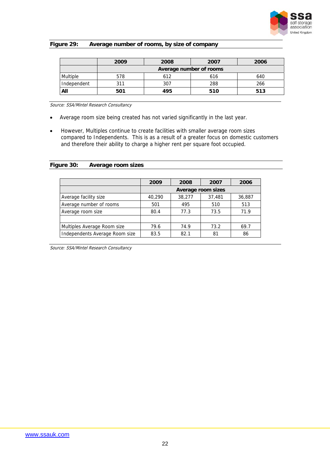

### **Figure 29: Average number of rooms, by size of company**

|             | 2009                    | 2008 | 2007 | 2006 |  |
|-------------|-------------------------|------|------|------|--|
|             | Average number of rooms |      |      |      |  |
| Multiple    | 578                     | 612  | 616  | 640  |  |
| Independent | 311                     | 307  | 288  | 266  |  |
| All         | 501                     | 495  | 510  | 513  |  |

Source: SSA/Mintel Research Consultancy

- Average room size being created has not varied significantly in the last year.
- However, Multiples continue to create facilities with smaller average room sizes compared to Independents. This is as a result of a greater focus on domestic customers and therefore their ability to charge a higher rent per square foot occupied.

### **Figure 30: Average room sizes**

|                                | 2009   | 2008   | 2007               | 2006   |
|--------------------------------|--------|--------|--------------------|--------|
|                                |        |        | Average room sizes |        |
| Average facility size          | 40,290 | 38,277 | 37,481             | 36,887 |
| Average number of rooms        | 501    | 495    | 510                | 513    |
| Average room size              | 80.4   | 77.3   | 73.5               | 71.9   |
|                                |        |        |                    |        |
| Multiples Average Room size    | 79.6   | 74.9   | 73.2               | 69.7   |
| Independents Average Room size | 83.5   | 82.1   | 81                 | 86     |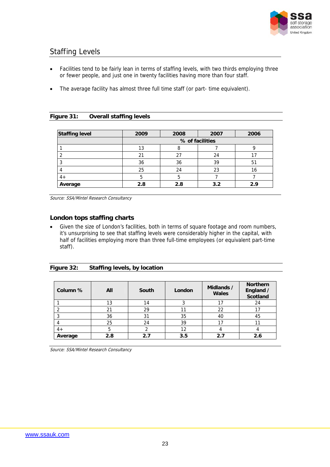

### <span id="page-24-0"></span>Staffing Levels

- Facilities tend to be fairly lean in terms of staffing levels, with two thirds employing three or fewer people, and just one in twenty facilities having more than four staff.
- The average facility has almost three full time staff (or part- time equivalent).

### **Figure 31: Overall staffing levels**

| <b>Staffing level</b> | 2009 | 2008            | 2007 | 2006 |  |  |  |
|-----------------------|------|-----------------|------|------|--|--|--|
|                       |      | % of facilities |      |      |  |  |  |
|                       |      |                 |      |      |  |  |  |
|                       |      |                 | 24   |      |  |  |  |
|                       | 36   | 36              | 39   | 51   |  |  |  |
|                       | 25   | 24              | 23   | ۱Ò   |  |  |  |
| $4+$                  |      |                 |      |      |  |  |  |
| Average               | 2.8  | 2.8             | 3.2  | 2.9  |  |  |  |

Source: SSA/Mintel Research Consultancy

### **London tops staffing charts**

• Given the size of London's facilities, both in terms of square footage and room numbers, it's unsurprising to see that staffing levels were considerably higher in the capital, with half of facilities employing more than three full-time employees (or equivalent part-time staff).

### **Figure 32: Staffing levels, by location**

| Column % | All | South | London | Midlands /<br><b>Wales</b> | <b>Northern</b><br>England /<br>Scotland |
|----------|-----|-------|--------|----------------------------|------------------------------------------|
|          |     | 14    |        |                            | 24                                       |
|          | 2.  | 29    |        | 22                         |                                          |
|          | 36  | 31    | 35     | 40                         | 45                                       |
|          | 25  | 24    | 39     |                            |                                          |
| $4+$     |     |       | 12     |                            |                                          |
| Average  | 2.8 | 2.7   | 3.5    | 2.7                        | 2.6                                      |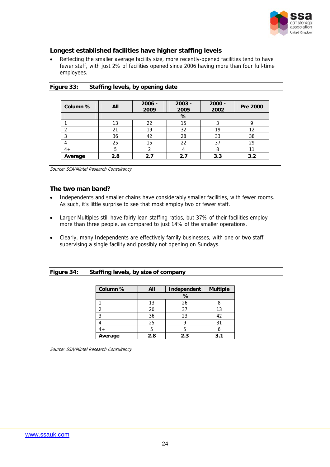

### <span id="page-25-0"></span>**Longest established facilities have higher staffing levels**

• Reflecting the smaller average facility size, more recently-opened facilities tend to have fewer staff, with just 2% of facilities opened since 2006 having more than four full-time employees.

| Column % | All | $2006 -$<br>2009 | $2003 -$<br>2005 | $2000 -$<br>2002 | Pre 2000 |
|----------|-----|------------------|------------------|------------------|----------|
|          |     |                  | %                |                  |          |
|          | 13  | 22               | 15               |                  |          |
| ◠        | 21  | 19               | 32               | 19               | 12       |
| 3        | 36  | 42               | 28               | 33               | 38       |
|          | 25  | 15               | 22               | 37               | 29       |
| $4+$     | 5   |                  |                  | 8                | 11       |
| Average  | 2.8 | 2.7              | 2.7              | 3.3              | 3.2      |

|  | Figure 33: | Staffing levels, by opening date |
|--|------------|----------------------------------|
|--|------------|----------------------------------|

Source: SSA/Mintel Research Consultancy

### **The two man band?**

- Independents and smaller chains have considerably smaller facilities, with fewer rooms. As such, it's little surprise to see that most employ two or fewer staff.
- Larger Multiples still have fairly lean staffing ratios, but 37% of their facilities employ more than three people, as compared to just 14% of the smaller operations.
- Clearly, many Independents are effectively family businesses, with one or two staff supervising a single facility and possibly not opening on Sundays.

| Figure 34: | Staffing levels, by size of company |  |
|------------|-------------------------------------|--|
|            |                                     |  |

| Column % | All | Independent | <b>Multiple</b> |  |  |  |
|----------|-----|-------------|-----------------|--|--|--|
|          | %   |             |                 |  |  |  |
|          | 13  | 26          |                 |  |  |  |
| ◠        | 20  | 37          | 13              |  |  |  |
| 3        | 36  | 23          | 42              |  |  |  |
|          | 25  |             | 31              |  |  |  |
|          |     |             |                 |  |  |  |
| Average  | 2.8 | 2.3         | 3.1             |  |  |  |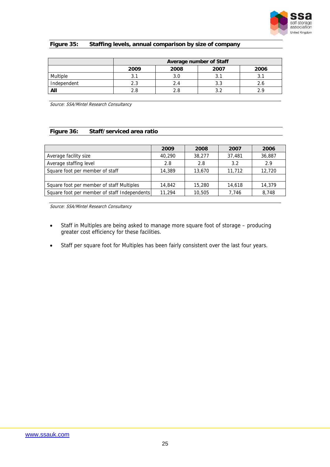

### **Figure 35: Staffing levels, annual comparison by size of company**

|             |      | Average number of Staff |      |      |  |  |
|-------------|------|-------------------------|------|------|--|--|
|             | 2009 | 2008                    | 2007 | 2006 |  |  |
| Multiple    |      |                         |      |      |  |  |
| Independent | 2.3  |                         | ن. ب |      |  |  |
| All         |      |                         |      |      |  |  |

Source: SSA/Mintel Research Consultancy

### **Figure 36: Staff/serviced area ratio**

|                                              | 2009   | 2008   | 2007   | 2006   |
|----------------------------------------------|--------|--------|--------|--------|
| Average facility size                        | 40,290 | 38,277 | 37,481 | 36,887 |
| Average staffing level                       | 2.8    | 2.8    | 3.2    | 2.9    |
| Square foot per member of staff              | 14,389 | 13,670 | 11.712 | 12,720 |
|                                              |        |        |        |        |
| Square foot per member of staff Multiples    | 14,842 | 15,280 | 14,618 | 14,379 |
| Square foot per member of staff Independents | 11,294 | 10,505 | 7,746  | 8,748  |

- Staff in Multiples are being asked to manage more square foot of storage producing greater cost efficiency for these facilities.
- Staff per square foot for Multiples has been fairly consistent over the last four years.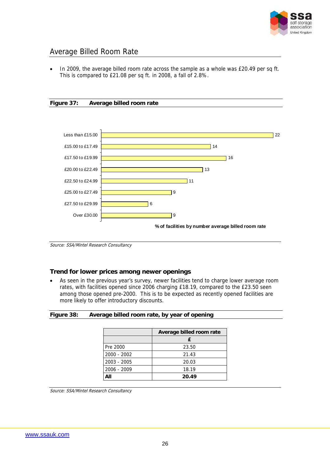

### <span id="page-27-0"></span>Average Billed Room Rate

• In 2009, the average billed room rate across the sample as a whole was £20.49 per sq ft. This is compared to £21.08 per sq ft. in 2008, a fall of 2.8%.





Source: SSA/Mintel Research Consultancy

### **Trend for lower prices among newer openings**

• As seen in the previous year's survey, newer facilities tend to charge lower average room rates, with facilities opened since 2006 charging £18.19, compared to the £23.50 seen among those opened pre-2000. This is to be expected as recently opened facilities are more likely to offer introductory discounts.

|             | Average billed room rate |
|-------------|--------------------------|
|             | £                        |
| Pre 2000    | 23.50                    |
| 2000 - 2002 | 21.43                    |
| 2003 - 2005 | 20.03                    |
| 2006 - 2009 | 18.19                    |
| All         | 20.49                    |

### **Figure 38: Average billed room rate, by year of opening**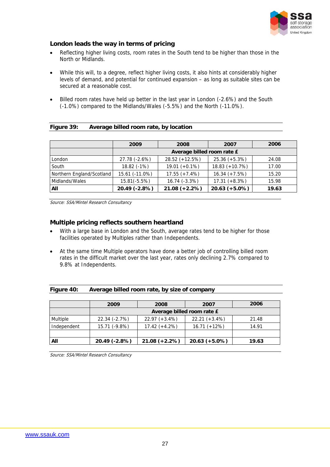

### <span id="page-28-0"></span>**London leads the way in terms of pricing**

- Reflecting higher living costs, room rates in the South tend to be higher than those in the North or Midlands.
- While this will, to a degree, reflect higher living costs, it also hints at considerably higher levels of demand, and potential for continued expansion – as long as suitable sites can be secured at a reasonable cost.
- Billed room rates have held up better in the last year in London (-2.6%) and the South (-1.0%) compared to the Midlands/Wales (-5.5%) and the North (-11.0%).

| Figure 39: | Average billed room rate, by location |  |  |  |
|------------|---------------------------------------|--|--|--|
|            |                                       |  |  |  |

|                           | 2009           | 2008                       | 2007             | 2006  |
|---------------------------|----------------|----------------------------|------------------|-------|
|                           |                | Average billed room rate £ |                  |       |
| London                    | 27.78 (-2.6%)  | $28.52 (+12.5%)$           | $25.36 (+5.3%)$  | 24.08 |
| South                     | 18.82 (-1%)    | $19.01 (+0.1%)$            | $18.83 (+10.7%)$ | 17.00 |
| Northern England/Scotland | 15.61 (-11.0%) | $17.55 (+7.4%)$            | $16.34 (+7.5%)$  | 15.20 |
| Midlands/Wales            | $15.81(-5.5%)$ | 16.74 (-3.3%)              | $17.31 (+8.3%)$  | 15.98 |
| All                       | 20.49 (-2.8%)  | $21.08 (+2.2%)$            | $20.63 (+5.0%)$  | 19.63 |

Source: SSA/Mintel Research Consultancy

### **Multiple pricing reflects southern heartland**

- With a large base in London and the South, average rates tend to be higher for those facilities operated by Multiples rather than Independents.
- At the same time Multiple operators have done a better job of controlling billed room rates in the difficult market over the last year, rates only declining 2.7% compared to 9.8% at Independents.

| Figure 40: | Average billed room rate, by size of company |
|------------|----------------------------------------------|

|                 | 2009          | 2008            | 2007                       | 2006  |
|-----------------|---------------|-----------------|----------------------------|-------|
|                 |               |                 | Average billed room rate £ |       |
| <b>Multiple</b> | 22.34 (-2.7%) | $22.97 (+3.4%)$ | $22.21 (+3.4%)$            | 21.48 |
| Independent     | 15.71 (-9.8%) | $17.42 (+4.2%)$ | $16.71 (+12%)$             | 14.91 |
|                 |               |                 |                            |       |
| All             | 20.49 (-2.8%) | $21.08 (+2.2%)$ | $20.63 (+5.0%)$            | 19.63 |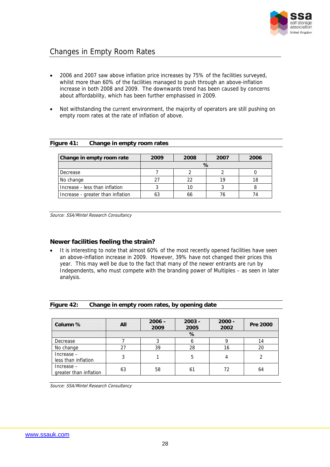

### <span id="page-29-0"></span>Changes in Empty Room Rates

- 2006 and 2007 saw above inflation price increases by 75% of the facilities surveyed, whilst more than 60% of the facilities managed to push through an above-inflation increase in both 2008 and 2009. The downwards trend has been caused by concerns about affordability, which has been further emphasised in 2009.
- Not withstanding the current environment, the majority of operators are still pushing on empty room rates at the rate of inflation of above.

| Figure 41: | Change in empty room rates |
|------------|----------------------------|
|------------|----------------------------|

| Change in empty room rate         | 2009 | 2008 | 2007 | 2006 |
|-----------------------------------|------|------|------|------|
|                                   |      | %    |      |      |
| Decrease                          |      |      |      |      |
| No change                         | 27   | 22   | 19   | 18   |
| Increase - less than inflation    |      |      |      |      |
| Increase - greater than inflation | 63   |      |      |      |

Source: SSA/Mintel Research Consultancy

### **Newer facilities feeling the strain?**

It is interesting to note that almost 60% of the most recently opened facilities have seen an above-inflation increase in 2009. However, 39% have not changed their prices this year. This may well be due to the fact that many of the newer entrants are run by Independents, who must compete with the branding power of Multiples – as seen in later analysis.

| Column %                             | All | $2006 -$<br>2009 | $2003 -$<br>2005 | $2000 -$<br>2002 | <b>Pre 2000</b> |
|--------------------------------------|-----|------------------|------------------|------------------|-----------------|
|                                      |     |                  | %                |                  |                 |
| Decrease                             |     |                  | ь                |                  | 14              |
| No change                            | 27  | 39               | 28               | 16               | 20              |
| $Increase -$<br>less than inflation  | 3   |                  | 5                |                  |                 |
| Increase -<br>greater than inflation | 63  | 58               | 61               | 72               | 64              |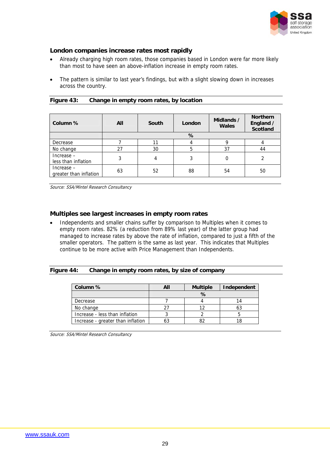

### <span id="page-30-0"></span>**London companies increase rates most rapidly**

- Already charging high room rates, those companies based in London were far more likely than most to have seen an above-inflation increase in empty room rates.
- The pattern is similar to last year's findings, but with a slight slowing down in increases across the country.

| Column %                               | All | <b>South</b> | London | Midlands /<br><b>Wales</b> | <b>Northern</b><br>England /<br><b>Scotland</b> |
|----------------------------------------|-----|--------------|--------|----------------------------|-------------------------------------------------|
|                                        |     |              | %      |                            |                                                 |
| Decrease                               |     | 11           |        |                            |                                                 |
| No change                              | 27  | 30           | 5      | 37                         | 44                                              |
| $Increase -$<br>less than inflation    | 3   | 4            | 3      | 0                          |                                                 |
| $Increase -$<br>greater than inflation | 63  | 52           | 88     | 54                         | 50                                              |

#### **Figure 43: Change in empty room rates, by location**

Source: SSA/Mintel Research Consultancy

### **Multiples see largest increases in empty room rates**

• Independents and smaller chains suffer by comparison to Multiples when it comes to empty room rates. 82% (a reduction from 89% last year) of the latter group had managed to increase rates by above the rate of inflation, compared to just a fifth of the smaller operators. The pattern is the same as last year. This indicates that Multiples continue to be more active with Price Management than Independents.

#### **Figure 44: Change in empty room rates, by size of company**

| Column %                          | All | <b>Multiple</b> | Independent |
|-----------------------------------|-----|-----------------|-------------|
|                                   |     | $\%$            |             |
| Decrease                          |     |                 |             |
| No change                         |     |                 |             |
| Increase - less than inflation    |     |                 |             |
| Increase - greater than inflation |     |                 |             |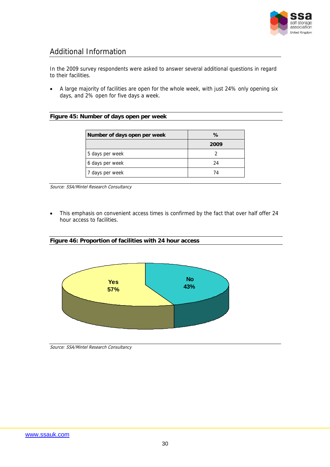

### <span id="page-31-0"></span>Additional Information

In the 2009 survey respondents were asked to answer several additional questions in regard to their facilities.

• A large majority of facilities are open for the whole week, with just 24% only opening six days, and 2% open for five days a week.

#### **Figure 45: Number of days open per week**

| Number of days open per week | ℅    |
|------------------------------|------|
|                              | 2009 |
| 5 days per week              |      |
| 6 days per week              | 24   |
| 7 days per week              | 74   |

Source: SSA/Mintel Research Consultancy

• This emphasis on convenient access times is confirmed by the fact that over half offer 24 hour access to facilities.





Source: SSA/Mintel Research Consultancy